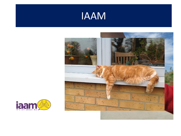



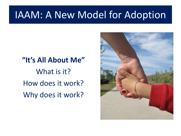# **"It's All About Me"** What is it? How does it work? Why does it work?

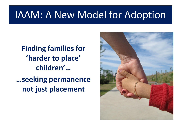#### **Finding families for 'harder to place' children'… …seeking permanence not just placement**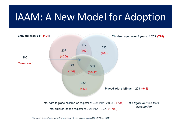

Source: Adoption Register; comparatives in red from AR 30 Sept 2011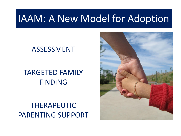#### ASSESSMENT

#### TARGETED FAMILY FINDING

#### THERAPEUTIC PARENTING SUPPORT

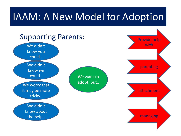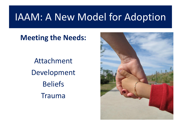**Meeting the Needs:**

Attachment Development Beliefs Trauma

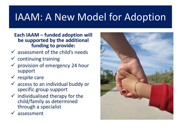**Each IAAM – funded adoption will be supported by the additional funding to provide:**

- $\checkmark$  assessment of the child's needs
- $\checkmark$  continuing training
- $\checkmark$  provision of emergency 24 hour support
- $\checkmark$  respite care
- $\checkmark$  access to an individual buddy or specific group support
- $\checkmark$  individualised therapy for the child/family as determined through a specialist
- $\checkmark$  assessment

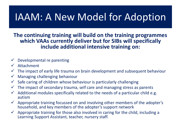**The continuing training will build on the training programmes which VAAs currently deliver but for SIBs will specifically include additional intensive training on:**

- $\checkmark$  Developmental re parenting
- $\checkmark$  Attachment
- $\checkmark$  The impact of early life trauma on brain development and subsequent behaviour
- $\checkmark$  Managing challenging behaviour
- $\checkmark$  Safe caring of children whose behaviour is particularly challenging
- $\checkmark$  The impact of secondary trauma, self care and managing stress as parents
- $\checkmark$  Additional modules specifically related to the needs of a particular child e.g. autism
- $\checkmark$  Appropriate training focussed on and involving other members of the adopter's household, and key members of the adopter's support network
- $\checkmark$  Appropriate training for those also involved in caring for the child, including a Learning Support Assistant, teacher, nursery staff.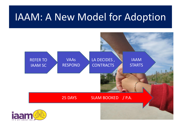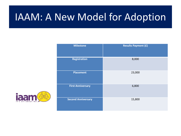| <b>Milestone</b>          | <b>Results Payment (£)</b> |
|---------------------------|----------------------------|
| <b>Registration</b>       | 8,000                      |
| <b>Placement</b>          | 23,000                     |
| <b>First Anniversary</b>  | 6,800                      |
| <b>Second Anniversary</b> | 15,800                     |

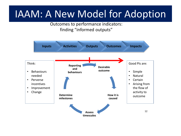Outcomes to performance indicators: finding "informed outputs"

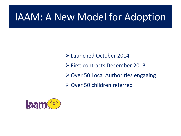Launched October 2014 First contracts December 2013 Over 50 Local Authorities engaging Over 50 children referred

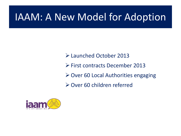Launched October 2013 First contracts December 2013 **≻ Over 60 Local Authorities engaging** Over 60 children referred